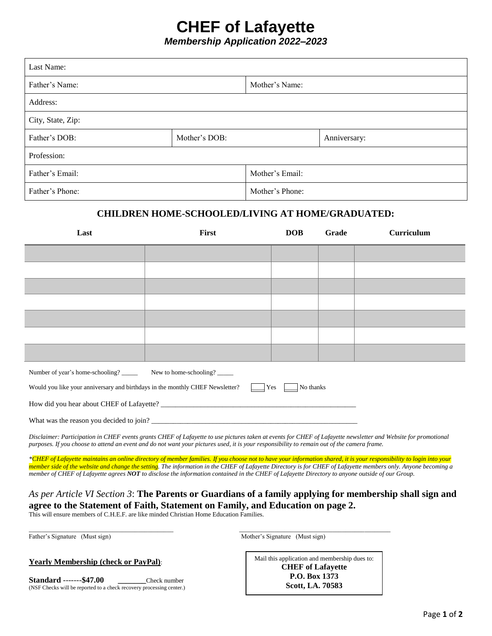## **CHEF of Lafayette**

*Membership Application 2022–2023*

| Last Name:                                                                                                                                                                                                                                                                                                    |       |              |                 |            |       |            |
|---------------------------------------------------------------------------------------------------------------------------------------------------------------------------------------------------------------------------------------------------------------------------------------------------------------|-------|--------------|-----------------|------------|-------|------------|
| Father's Name:                                                                                                                                                                                                                                                                                                |       |              | Mother's Name:  |            |       |            |
| Address:                                                                                                                                                                                                                                                                                                      |       |              |                 |            |       |            |
| City, State, Zip:                                                                                                                                                                                                                                                                                             |       |              |                 |            |       |            |
| Father's DOB:<br>Mother's DOB:                                                                                                                                                                                                                                                                                |       | Anniversary: |                 |            |       |            |
| Profession:                                                                                                                                                                                                                                                                                                   |       |              |                 |            |       |            |
| Father's Email:                                                                                                                                                                                                                                                                                               |       |              | Mother's Email: |            |       |            |
| Father's Phone:                                                                                                                                                                                                                                                                                               |       |              | Mother's Phone: |            |       |            |
| CHILDREN HOME-SCHOOLED/LIVING AT HOME/GRADUATED:                                                                                                                                                                                                                                                              |       |              |                 |            |       |            |
| Last                                                                                                                                                                                                                                                                                                          | First |              |                 | <b>DOB</b> | Grade | Curriculum |
|                                                                                                                                                                                                                                                                                                               |       |              |                 |            |       |            |
|                                                                                                                                                                                                                                                                                                               |       |              |                 |            |       |            |
|                                                                                                                                                                                                                                                                                                               |       |              |                 |            |       |            |
|                                                                                                                                                                                                                                                                                                               |       |              |                 |            |       |            |
|                                                                                                                                                                                                                                                                                                               |       |              |                 |            |       |            |
|                                                                                                                                                                                                                                                                                                               |       |              |                 |            |       |            |
|                                                                                                                                                                                                                                                                                                               |       |              |                 |            |       |            |
| New to home-schooling?<br>Number of year's home-schooling?                                                                                                                                                                                                                                                    |       |              |                 |            |       |            |
| $ $ Yes<br>No thanks<br>Would you like your anniversary and birthdays in the monthly CHEF Newsletter?                                                                                                                                                                                                         |       |              |                 |            |       |            |
|                                                                                                                                                                                                                                                                                                               |       |              |                 |            |       |            |
|                                                                                                                                                                                                                                                                                                               |       |              |                 |            |       |            |
| Disclaimer: Participation in CHEF events grants CHEF of Lafayette to use pictures taken at events for CHEF of Lafayette newsletter and Website for promotional<br>purposes. If you choose to attend an event and do not want your pictures used, it is your responsibility to remain out of the camera frame. |       |              |                 |            |       |            |
| *CHEF of Lafayette maintains an online directory of member families. If you choose not to have your information shared, it is your responsibility to login into your                                                                                                                                          |       |              |                 |            |       |            |

*member side of the website and change the setting. The information in the CHEF of Lafayette Directory is for CHEF of Lafayette members only. Anyone becoming a member of CHEF of Lafayette agrees NOT to disclose the information contained in the CHEF of Lafayette Directory to anyone outside of our Group.*

#### *As per Article VI Section 3*: **The Parents or Guardians of a family applying for membership shall sign and agree to the Statement of Faith, Statement on Family, and Education on page 2.**

*\_\_\_\_\_\_\_\_\_\_\_\_\_\_\_\_\_\_\_\_\_\_\_\_\_\_\_\_\_\_\_\_\_\_\_\_\_\_\_\_\_\_\_\_\_ \_\_\_\_\_\_\_\_\_\_\_\_\_\_\_\_\_\_\_\_\_\_\_\_\_\_\_\_\_\_\_\_\_\_\_\_\_\_\_\_\_\_\_\_\_\_\_*

This will ensure members of C.H.E.F. are like minded Christian Home Education Families.

Father's Signature (Must sign) Mother's Signature (Must sign)

Mail this application and membership dues to: **CHEF of Lafayette P.O. Box 1373 Scott, LA. 70583**

**Standard** -------**\$47.00 \_\_\_\_\_\_\_**Check number (NSF Checks will be reported to a check recovery processing center.)

**Yearly Membership (check or PayPal)**: